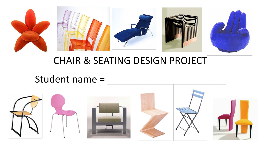

# CHAIR & SEATING DESIGN PROJECT

# Student name =

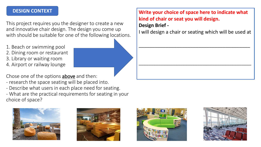#### **DESIGN CONTEXT**

This project requires you the designer to create a new and innovative chair design. The design you come up with should be suitable for one of the following locations.

- 1. Beach or swimming pool 2. Dining room or restaurant 3. Library or waiting room
- 4. Airport or railway lounge

Chose one of the options above and then:

- research the space seating will be placed into.
- Describe what users in each place need for seating.

- What are the practical requirements for seating in your choice of space?









**Write your choice of space here to indicate what kind of chair or seat you will design.**

#### **Design Brief -**

I will design a chair or seating which will be used at

\_\_\_\_\_\_\_\_\_\_\_\_\_\_\_\_\_\_\_\_\_\_\_\_\_\_\_\_\_\_\_\_\_\_\_\_\_\_\_\_\_

\_\_\_\_\_\_\_\_\_\_\_\_\_\_\_\_\_\_\_\_\_\_\_\_\_\_\_\_\_\_\_\_\_\_\_\_\_\_\_\_\_\_\_\_\_\_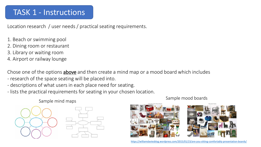#### TASK 1 - Instructions

Location research / user needs / practical seating requirements.

- 1. Beach or swimming pool
- 2. Dining room or restaurant
- 3. Library or waiting room
- 4. Airport or railway lounge

Chose one of the options **above** and then create a mind map or a mood board which includes - research of the space seating will be placed into.

- descriptions of what users in each place need for seating.
- lists the practical requirements for seating in your chosen location.

Sample mind maps Sample mood boards





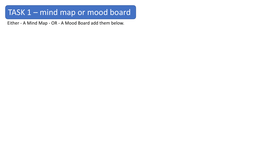### TASK 1 – mind map or mood board

Either - A Mind Map - OR - A Mood Board add them below.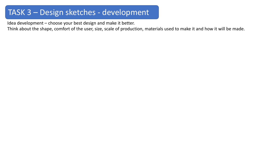#### TASK 3 – Design sketches - development

Idea development – choose your best design and make it better.

Think about the shape, comfort of the user, size, scale of production, materials used to make it and how it will be made.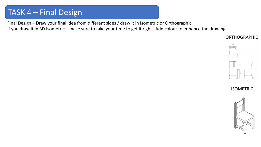#### TASK 4 – Final Design

Final Design – Draw your final idea from different sides / draw it in Isometric or Orthographic

If you draw it in 3D Isometric – make sure to take your time to get it right. Add colour to enhance the drawing.

ORTHOGRAPHIC



ISOMETRIC

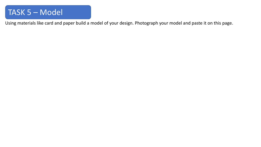#### TASK 5 – Model

Using materials like card and paper build a model of your design. Photograph your model and paste it on this page.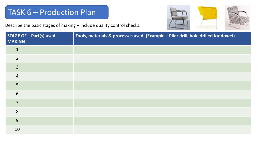## TASK 6 – Production Plan

Describe the basic stages of making – include quality control checks.



| <b>MAKING</b>  | STAGE OF $ $ Part(s) used | Tools, materials & processes used. (Example - Pilar drill, hole drilled for dowel) |
|----------------|---------------------------|------------------------------------------------------------------------------------|
| $\mathbf{1}$   |                           |                                                                                    |
| $\overline{2}$ |                           |                                                                                    |
| $\overline{3}$ |                           |                                                                                    |
| $\overline{4}$ |                           |                                                                                    |
| 5              |                           |                                                                                    |
| 6              |                           |                                                                                    |
| $\overline{7}$ |                           |                                                                                    |
| 8              |                           |                                                                                    |
| 9              |                           |                                                                                    |
| 10             |                           |                                                                                    |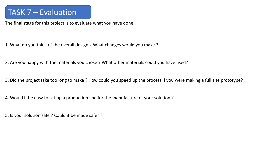## TASK 7 – Evaluation

The final stage for this project is to evaluate what you have done.

1. What do you think of the overall design ? What changes would you make ?

2. Are you happy with the materials you chose ? What other materials could you have used?

3. Did the project take too long to make ? How could you speed up the process if you were making a full size prototype?

4. Would it be easy to set up a production line for the manufacture of your solution ?

5. Is your solution safe ? Could it be made safer ?